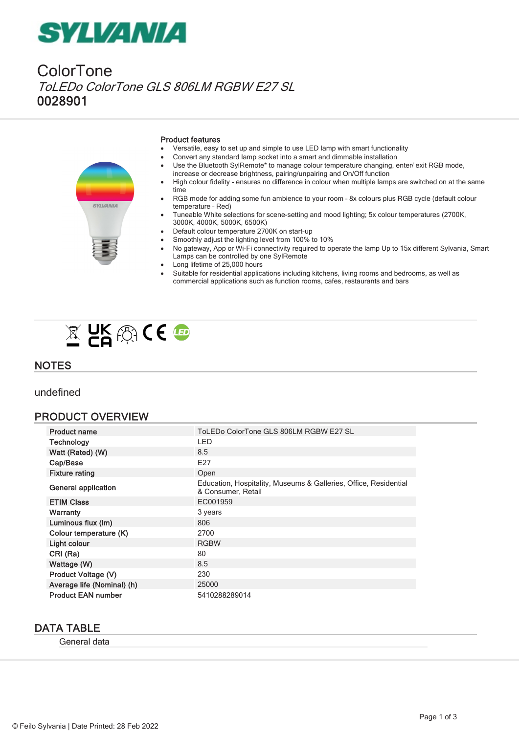# *SYLVANIA*

ColorTone ToLEDo ColorTone GLS 806LM RGBW E27 SL 0028901



#### Product features

- Versatile, easy to set up and simple to use LED lamp with smart functionality
- · Convert any standard lamp socket into a smart and dimmable installation
- Use the Bluetooth SylRemote\* to manage colour temperature changing, enter/ exit RGB mode, increase or decrease brightness, pairing/unpairing and On/Off function
- · High colour fidelity ensures no difference in colour when multiple lamps are switched on at the same time
- RGB mode for adding some fun ambience to your room 8x colours plus RGB cycle (default colour temperature – Red)
- Tuneable White selections for scene-setting and mood lighting; 5x colour temperatures (2700K, 3000K, 4000K, 5000K, 6500K)
- Default colour temperature 2700K on start-up
- Smoothly adjust the lighting level from 100% to 10%
- · No gateway, App or Wi-Fi connectivity required to operate the lamp Up to 15x different Sylvania, Smart Lamps can be controlled by one SylRemote
- Long lifetime of 25,000 hours
- Suitable for residential applications including kitchens, living rooms and bedrooms, as well as commercial applications such as function rooms, cafes, restaurants and bars



### **NOTES**

undefined

#### PRODUCT OVERVIEW

| <b>Product name</b>        | ToLEDo ColorTone GLS 806LM RGBW E27 SL                                                 |
|----------------------------|----------------------------------------------------------------------------------------|
| Technology                 | LED                                                                                    |
| Watt (Rated) (W)           | 8.5                                                                                    |
| Cap/Base                   | E27                                                                                    |
| <b>Fixture rating</b>      | Open                                                                                   |
| <b>General application</b> | Education, Hospitality, Museums & Galleries, Office, Residential<br>& Consumer, Retail |
| <b>ETIM Class</b>          | EC001959                                                                               |
| <b>Warranty</b>            | 3 years                                                                                |
| Luminous flux (Im)         | 806                                                                                    |
| Colour temperature (K)     | 2700                                                                                   |
| Light colour               | <b>RGBW</b>                                                                            |
| CRI (Ra)                   | 80                                                                                     |
| Wattage (W)                | 8.5                                                                                    |
| Product Voltage (V)        | 230                                                                                    |
| Average life (Nominal) (h) | 25000                                                                                  |
| <b>Product EAN number</b>  | 5410288289014                                                                          |

#### DATA TABLE

General data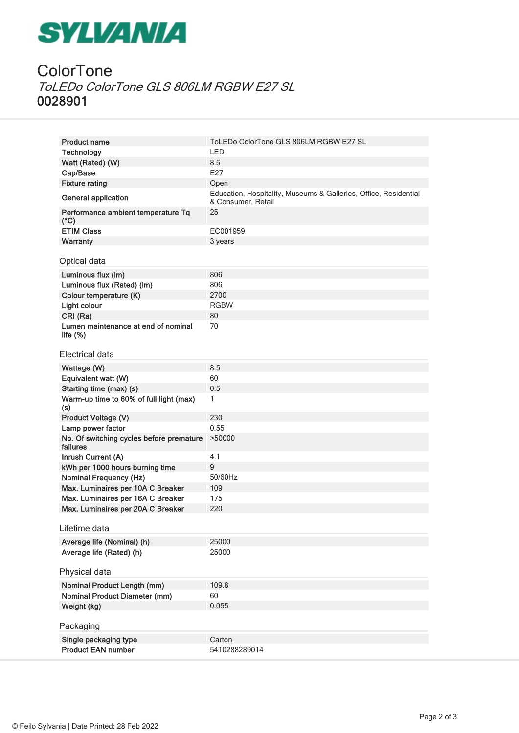# **SYLVANIA**

### **ColorTone** ToLEDo ColorTone GLS 806LM RGBW E27 SL 0028901

| <b>Product name</b>                                  | ToLEDo ColorTone GLS 806LM RGBW E27 SL                                                 |
|------------------------------------------------------|----------------------------------------------------------------------------------------|
| <b>Technology</b>                                    | <b>LED</b>                                                                             |
| Watt (Rated) (W)                                     | 8.5                                                                                    |
| Cap/Base                                             | E27                                                                                    |
| <b>Fixture rating</b>                                | Open                                                                                   |
| <b>General application</b>                           | Education, Hospitality, Museums & Galleries, Office, Residential<br>& Consumer, Retail |
| Performance ambient temperature Tq<br>$(^{\circ}C)$  | 25                                                                                     |
| <b>ETIM Class</b>                                    | EC001959                                                                               |
| <b>Warranty</b>                                      | 3 years                                                                                |
| Optical data                                         |                                                                                        |
| Luminous flux (Im)                                   | 806                                                                                    |
| Luminous flux (Rated) (lm)                           | 806                                                                                    |
| Colour temperature (K)                               | 2700                                                                                   |
| <b>Light colour</b>                                  | <b>RGBW</b>                                                                            |
| CRI (Ra)                                             | 80                                                                                     |
| Lumen maintenance at end of nominal<br>life $(\%)$   | 70                                                                                     |
| Electrical data                                      |                                                                                        |
| Wattage (W)                                          | 8.5                                                                                    |
| Equivalent watt (W)                                  | 60                                                                                     |
| Starting time (max) (s)                              | 0.5                                                                                    |
| Warm-up time to 60% of full light (max)<br>(s)       | 1                                                                                      |
| Product Voltage (V)                                  | 230                                                                                    |
| Lamp power factor                                    | 0.55                                                                                   |
| No. Of switching cycles before premature<br>failures | >50000                                                                                 |
| Inrush Current (A)                                   | 4.1                                                                                    |
| kWh per 1000 hours burning time                      | $9$                                                                                    |
| <b>Nominal Frequency (Hz)</b>                        | 50/60Hz                                                                                |
| Max. Luminaires per 10A C Breaker                    | 109                                                                                    |
| Max. Luminaires per 16A C Breaker                    | 175                                                                                    |
| Max. Luminaires per 20A C Breaker                    | 220                                                                                    |
| Lifetime data                                        |                                                                                        |
| Average life (Nominal) (h)                           | 25000                                                                                  |
| Average life (Rated) (h)                             | 25000                                                                                  |
|                                                      |                                                                                        |
| Physical data                                        |                                                                                        |
| <b>Nominal Product Length (mm)</b>                   | 109.8                                                                                  |
| <b>Nominal Product Diameter (mm)</b>                 | 60                                                                                     |
| Weight (kg)                                          | 0.055                                                                                  |
|                                                      |                                                                                        |
| Packaging                                            |                                                                                        |
| Single packaging type                                | Carton                                                                                 |
| <b>Product EAN number</b>                            | 5410288289014                                                                          |
|                                                      |                                                                                        |